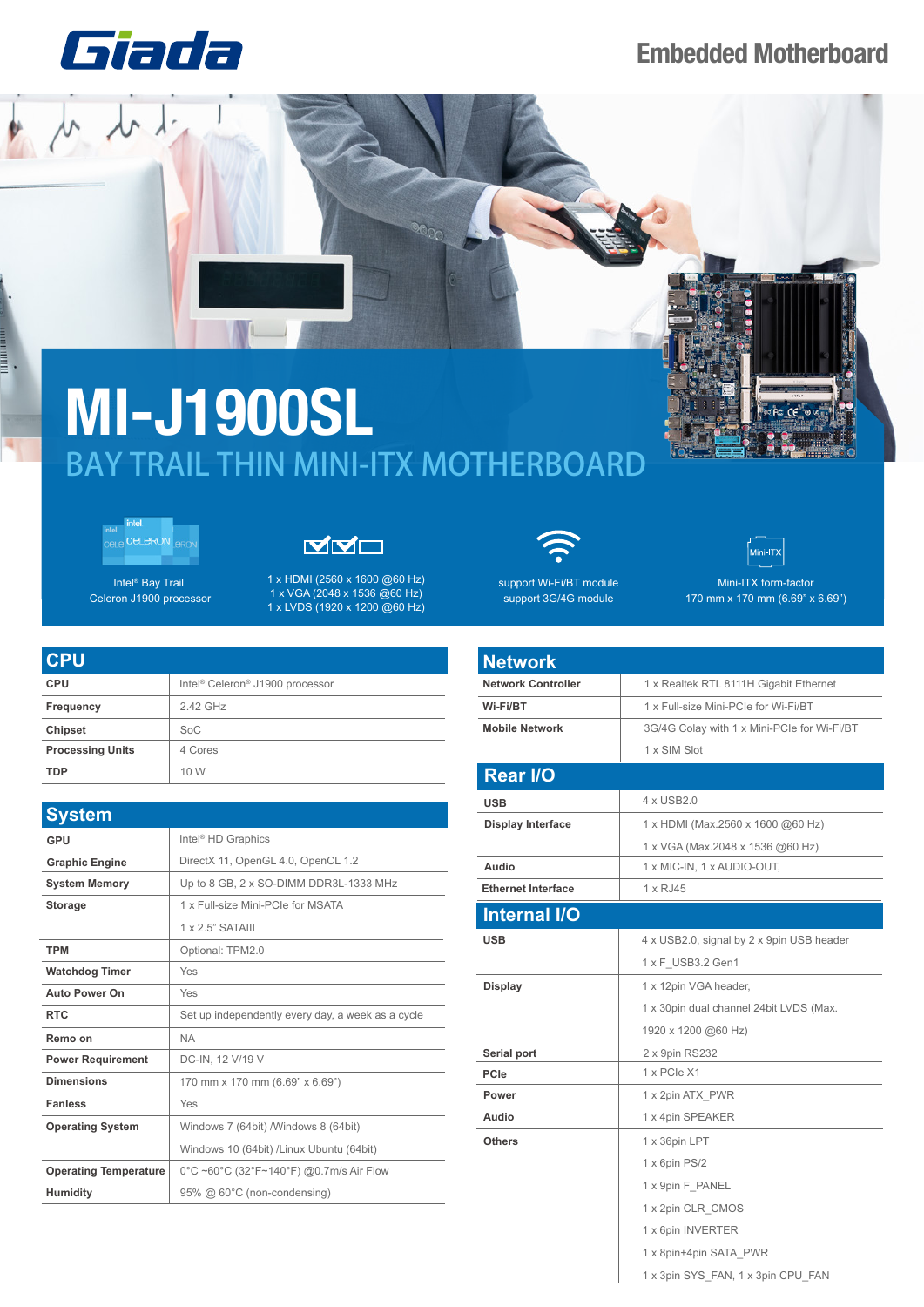

## **Embedded Motherboard**





┋

Intel® Bay Trail Celeron J1900 processor



1 x HDMI (2560 x 1600 @60 Hz) 1 x VGA (2048 x 1536 @60 Hz) 1 x LVDS (1920 x 1200 @60 Hz)

| <b>CPU</b>              |                                                         |
|-------------------------|---------------------------------------------------------|
| <b>CPU</b>              | Intel <sup>®</sup> Celeron <sup>®</sup> J1900 processor |
| Frequency               | 2.42 GHz                                                |
| <b>Chipset</b>          | SoC                                                     |
| <b>Processing Units</b> | 4 Cores                                                 |
| <b>TDP</b>              | 10 W                                                    |

| <b>System</b>                |                                                   |  |  |
|------------------------------|---------------------------------------------------|--|--|
| GPU                          | Intel <sup>®</sup> HD Graphics                    |  |  |
| <b>Graphic Engine</b>        | DirectX 11, OpenGL 4.0, OpenCL 1.2                |  |  |
| <b>System Memory</b>         | Up to 8 GB, 2 x SO-DIMM DDR3L-1333 MHz            |  |  |
| <b>Storage</b>               | 1 x Full-size Mini-PCIe for MSATA                 |  |  |
|                              | 1 x 2.5" SATAIII                                  |  |  |
| <b>TPM</b>                   | Optional: TPM2.0                                  |  |  |
| <b>Watchdog Timer</b>        | Yes                                               |  |  |
| <b>Auto Power On</b>         | Yes                                               |  |  |
| <b>RTC</b>                   | Set up independently every day, a week as a cycle |  |  |
| Remo on                      | <b>NA</b>                                         |  |  |
| <b>Power Requirement</b>     | DC-IN, 12 V/19 V                                  |  |  |
| <b>Dimensions</b>            | 170 mm x 170 mm (6.69" x 6.69")                   |  |  |
| <b>Fanless</b>               | Yes                                               |  |  |
| <b>Operating System</b>      | Windows 7 (64bit) /Windows 8 (64bit)              |  |  |
|                              | Windows 10 (64bit) /Linux Ubuntu (64bit)          |  |  |
| <b>Operating Temperature</b> | 0°C ~60°C (32°F~140°F) @0.7m/s Air Flow           |  |  |
| <b>Humidity</b>              | 95% @ 60°C (non-condensing)                       |  |  |



support Wi-Fi/BT module support 3G/4G module



Fe CF

Mini-ITX form-factor 170 mm x 170 mm (6.69" x 6.69")

| <b>Network</b>            |                                             |  |
|---------------------------|---------------------------------------------|--|
| <b>Network Controller</b> | 1 x Realtek RTL 8111H Gigabit Ethernet      |  |
| Wi-Fi/BT                  | 1 x Full-size Mini-PCIe for Wi-Fi/BT        |  |
| <b>Mobile Network</b>     | 3G/4G Colay with 1 x Mini-PCIe for Wi-Fi/BT |  |
|                           | 1 x SIM Slot                                |  |
| <b>Rear I/O</b>           |                                             |  |
| <b>USB</b>                | 4 x USB2.0                                  |  |
| <b>Display Interface</b>  | 1 x HDMI (Max.2560 x 1600 @60 Hz)           |  |
|                           | 1 x VGA (Max.2048 x 1536 @60 Hz)            |  |
| Audio                     | 1 x MIC-IN, 1 x AUDIO-OUT,                  |  |
| <b>Ethernet Interface</b> | 1 x RJ45                                    |  |
| <b>Internal I/O</b>       |                                             |  |
| <b>USB</b>                | 4 x USB2.0, signal by 2 x 9pin USB header   |  |
|                           | 1 x F USB3.2 Gen1                           |  |
| <b>Display</b>            | 1 x 12pin VGA header,                       |  |
|                           | 1 x 30pin dual channel 24bit LVDS (Max.     |  |
|                           | 1920 x 1200 @60 Hz)                         |  |
| Serial port               | 2 x 9pin RS232                              |  |
| <b>PCIe</b>               | 1 x PCIe X1                                 |  |
| Power                     | 1 x 2pin ATX PWR                            |  |
| Audio                     | 1 x 4pin SPEAKER                            |  |
| <b>Others</b>             | 1 x 36pin LPT                               |  |
|                           | 1 x 6pin PS/2                               |  |
|                           | 1 x 9pin F PANEL                            |  |
|                           | 1 x 2pin CLR CMOS                           |  |
|                           | 1 x 6pin INVERTER                           |  |
|                           | 1 x 8pin+4pin SATA PWR                      |  |
|                           | 1 x 3pin SYS_FAN, 1 x 3pin CPU_FAN          |  |